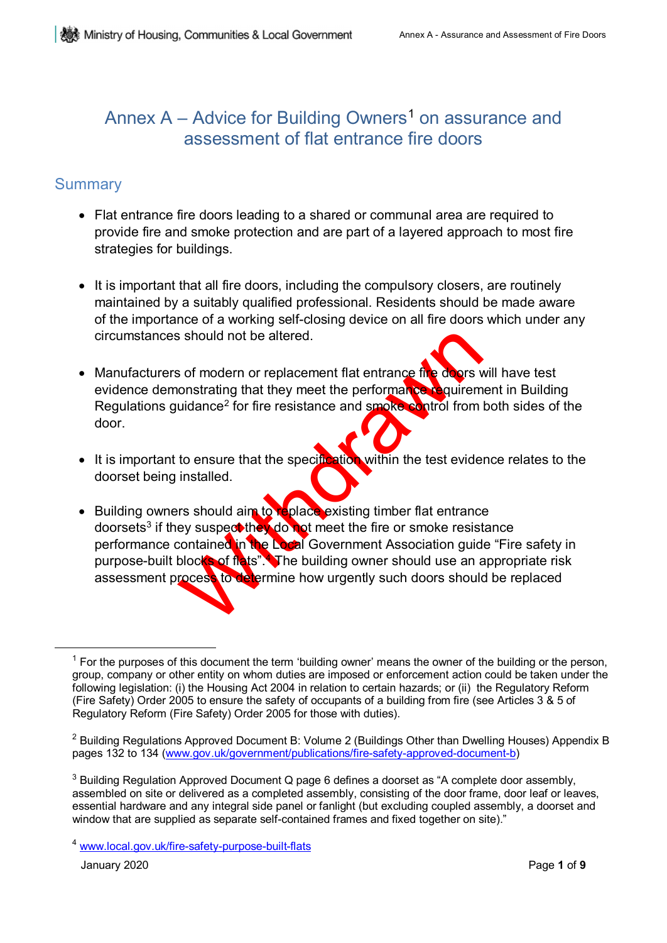## Annex  $A -$  Advice for Building Owners<sup>[1](#page-0-0)</sup> on assurance and assessment of flat entrance fire doors

## **Summary**

- Flat entrance fire doors leading to a shared or communal area are required to provide fire and smoke protection and are part of a layered approach to most fire strategies for buildings.
- It is important that all fire doors, including the compulsory closers, are routinely maintained by a suitably qualified professional. Residents should be made aware of the importance of a working self-closing device on all fire doors which under any circumstances should not be altered.
- Manufacturers of modern or replacement flat entrance fire doors will have test evidence demonstrating that they meet the performance requirement in Building Regulations guidance<sup>2</sup> for fire resistance and smoke control from both sides of the door.
- It is important to ensure that the specification within the test evidence relates to the doorset being installed.
- School and the altered.<br>
School and they meet the performance the doors vonstrating that they meet the performance of the doors volume<br>
uidance<sup>2</sup> for fire resistance and smoke control from<br>
to ensure that the specificatio • Building owners should aim to replace existing timber flat entrance doorsets<sup>[3](#page-0-2)</sup> if they suspect they do not meet the fire or smoke resistance performance contained in the Local Government Association guide "Fire safety in purpose-built blocks of flats". The building owner should use an appropriate risk assessment process to determine how urgently such doors should be replaced

January 2020 Page **1** of **9** 

<span id="page-0-0"></span> $<sup>1</sup>$  For the purposes of this document the term 'building owner' means the owner of the building or the person,</sup> group, company or other entity on whom duties are imposed or enforcement action could be taken under the following legislation: (i) the Housing Act 2004 in relation to certain hazards; or (ii) the Regulatory Reform (Fire Safety) Order 2005 to ensure the safety of occupants of a building from fire (see Articles 3 & 5 of Regulatory Reform (Fire Safety) Order 2005 for those with duties).

<span id="page-0-1"></span><sup>&</sup>lt;sup>2</sup> Building Regulations Approved Document B: Volume 2 (Buildings Other than Dwelling Houses) Appendix B pages 132 to 134 [\(www.gov.uk/government/publications/fire-safety-approved-document-b\)](http://www.gov.uk/government/publications/fire-safety-approved-document-b)

<span id="page-0-2"></span> $3$  Building Regulation Approved Document Q page 6 defines a doorset as "A complete door assembly, assembled on site or delivered as a completed assembly, consisting of the door frame, door leaf or leaves, essential hardware and any integral side panel or fanlight (but excluding coupled assembly, a doorset and window that are supplied as separate self-contained frames and fixed together on site)."

<span id="page-0-3"></span><sup>4</sup> [www.local.gov.uk/fire-safety-purpose-built-flats](http://www.local.gov.uk/fire-safety-purpose-built-flats)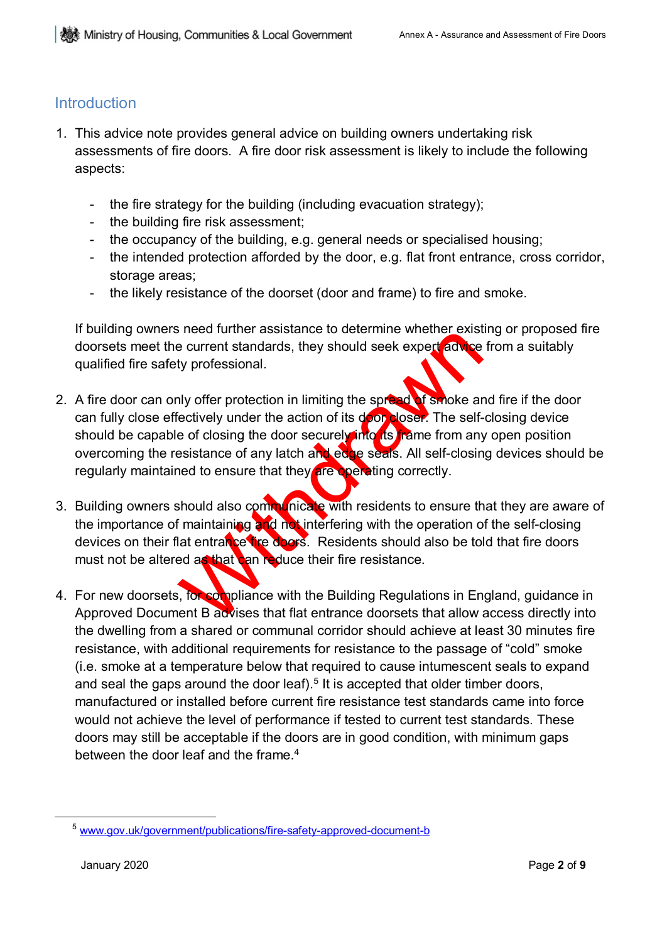### **Introduction**

- 1. This advice note provides general advice on building owners undertaking risk assessments of fire doors. A fire door risk assessment is likely to include the following aspects:
	- the fire strategy for the building (including evacuation strategy);
	- the building fire risk assessment;
	- the occupancy of the building, e.g. general needs or specialised housing;
	- the intended protection afforded by the door, e.g. flat front entrance, cross corridor, storage areas;
	- the likely resistance of the doorset (door and frame) to fire and smoke.

If building owners need further assistance to determine whether existing or proposed fire doorsets meet the current standards, they should seek expert advice from a suitably qualified fire safety professional.

- The above that the Building Regulations in Energy and the Building Regulations in the Backless and Backless that the Building Regulations in Energy and Backless that the Building Regulations in Energy and Backless that the 2. A fire door can only offer protection in limiting the spread of smoke and fire if the door can fully close effectively under the action of its door closer. The self-closing device should be capable of closing the door securely into its frame from any open position overcoming the resistance of any latch and edge seals. All self-closing devices should be regularly maintained to ensure that they are operating correctly.
- 3. Building owners should also communicate with residents to ensure that they are aware of the importance of maintaining and not interfering with the operation of the self-closing devices on their flat entrance fire doors. Residents should also be told that fire doors must not be altered as that can reduce their fire resistance.
- 4. For new doorsets, for compliance with the Building Regulations in England, guidance in Approved Document B advises that flat entrance doorsets that allow access directly into the dwelling from a shared or communal corridor should achieve at least 30 minutes fire resistance, with additional requirements for resistance to the passage of "cold" smoke (i.e. smoke at a temperature below that required to cause intumescent seals to expand and seal the gaps around the door leaf).<sup>5</sup> It is accepted that older timber doors, manufactured or installed before current fire resistance test standards came into force would not achieve the level of performance if tested to current test standards. These doors may still be acceptable if the doors are in good condition, with minimum gaps between the door leaf and the frame. 4

<span id="page-1-0"></span><sup>5</sup> [www.gov.uk/government/publications/fire-safety-approved-document-b](http://www.gov.uk/government/publications/fire-safety-approved-document-b)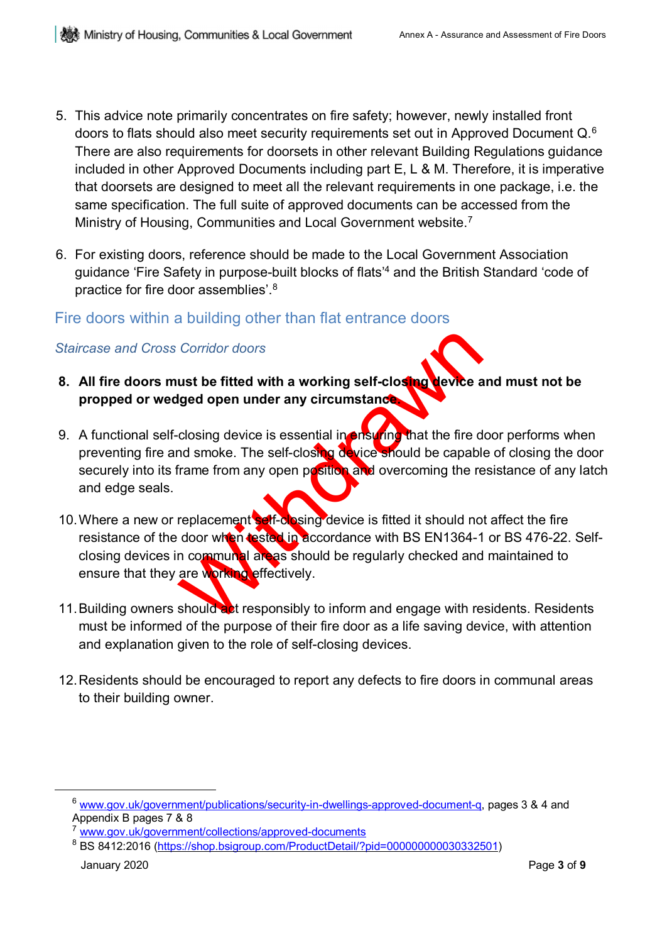- 5. This advice note primarily concentrates on fire safety; however, newly installed front doors to flats should also meet security requirements set out in Approved Document Q.[6](#page-2-0) There are also requirements for doorsets in other relevant Building Regulations guidance included in other Approved Documents including part E, L & M. Therefore, it is imperative that doorsets are designed to meet all the relevant requirements in one package, i.e. the same specification. The full suite of approved documents can be accessed from the Ministry of Housing, Communities and Local Government website. [7](#page-2-1)
- 6. For existing doors, reference should be made to the Local Government Association guidance 'Fire Safety in purpose-built blocks of flats'4 and the British Standard 'code of practice for fire door assemblies'. $^8$  $^8$

### Fire doors within a building other than flat entrance doors

### *Staircase and Cross Corridor doors*

- **8. All fire doors must be fitted with a working self-closing device and must not be propped or wedged open under any circumstance.**
- 9. A functional self-closing device is essential in ensuring that the fire door performs when preventing fire and smoke. The self-closing device should be capable of closing the door securely into its frame from any open position and overcoming the resistance of any latch and edge seals.
- Corridor doors<br>
ust be fitted with a working self-closing<br>
liged open under any circumstance<br>
closing device is essential in rise and that the fire d<br>
in a smoke. The self-closing device should be capablicant<br>
frame from a 10. Where a new or replacement self-closing device is fitted it should not affect the fire resistance of the door when tested in accordance with BS EN1364-1 or BS 476-22. Selfclosing devices in communal areas should be regularly checked and maintained to ensure that they are working effectively.
- 11. Building owners should act responsibly to inform and engage with residents. Residents must be informed of the purpose of their fire door as a life saving device, with attention and explanation given to the role of self-closing devices.
- 12.Residents should be encouraged to report any defects to fire doors in communal areas to their building owner.

<span id="page-2-0"></span><sup>6</sup> [www.gov.uk/government/publications/security-in-dwellings-approved-document-q, p](http://www.gov.uk/government/publications/security-in-dwellings-approved-document-q)ages 3 & 4 and Appendix B pages 7 & 8

<span id="page-2-1"></span><sup>7</sup> [www.gov.uk/government/collections/approved-documents](http://www.gov.uk/government/collections/approved-documents)

<span id="page-2-2"></span><sup>&</sup>lt;sup>8</sup> BS 8412:2016 (<u>https://shop.bsigroup.com/ProductDetail/?pid=000000000030332501)</u>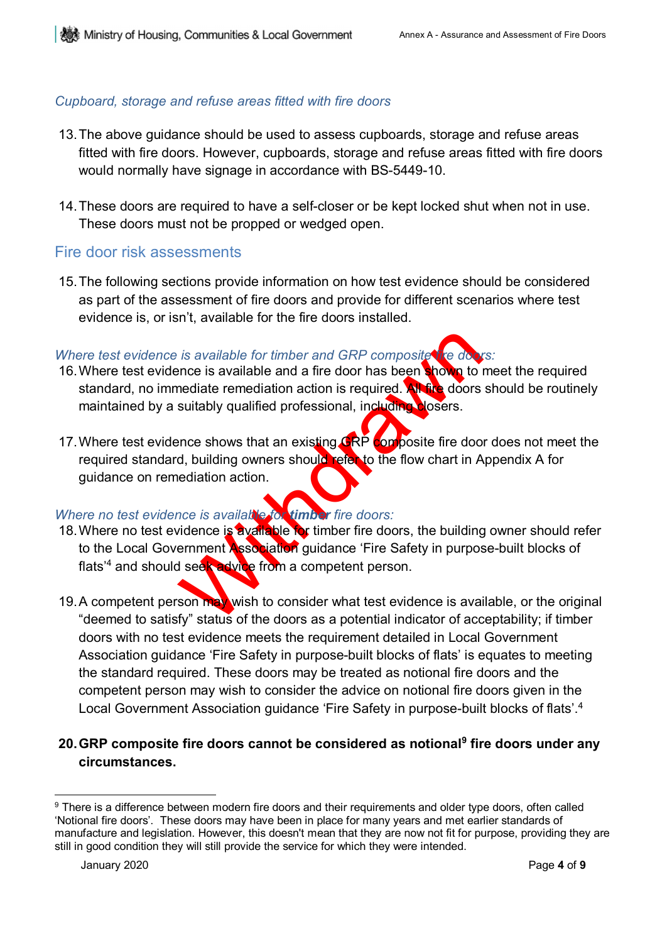## *Cupboard, storage and refuse areas fitted with fire doors*

- 13.The above guidance should be used to assess cupboards, storage and refuse areas fitted with fire doors. However, cupboards, storage and refuse areas fitted with fire doors would normally have signage in accordance with BS-5449-10.
- 14.These doors are required to have a self-closer or be kept locked shut when not in use. These doors must not be propped or wedged open.

## Fire door risk assessments

15.The following sections provide information on how test evidence should be considered as part of the assessment of fire doors and provide for different scenarios where test evidence is, or isn't, available for the fire doors installed.

## *Where test evidence is available for timber and GRP composite fire doors:*

- 16. Where test evidence is available and a fire door has been shown to meet the required standard, no immediate remediation action is required. All fire doors should be routinely maintained by a suitably qualified professional, including closers.
- 17. Where test evidence shows that an existing GRP composite fire door does not meet the required standard, building owners should refer to the flow chart in Appendix A for guidance on remediation action.

## *Where no test evidence is available for timber fire doors:*

- is available for timber and GRP composite the down<br>ance is available and a fire door has been shown to inediate remediation action is required. All the doors<br>suitably qualified professional, including losers.<br>ance shows th 18. Where no test evidence is available for timber fire doors, the building owner should refer to the Local Government Association guidance 'Fire Safety in purpose-built blocks of flats<sup>'4</sup> and should seek advice from a competent person.
- 19. A competent person may wish to consider what test evidence is available, or the original "deemed to satisfy" status of the doors as a potential indicator of acceptability; if timber doors with no test evidence meets the requirement detailed in Local Government Association guidance 'Fire Safety in purpose-built blocks of flats' is equates to meeting the standard required. These doors may be treated as notional fire doors and the competent person may wish to consider the advice on notional fire doors given in the Local Government Association guidance 'Fire Safety in purpose-built blocks of flats'.4

### **20.GRP composite fire doors cannot be considered as notional[9](#page-3-0) fire doors under any circumstances.**

<span id="page-3-0"></span> $\overline{a}$ <sup>9</sup> There is a difference between modern fire doors and their requirements and older type doors, often called 'Notional fire doors'. These doors may have been in place for many years and met earlier standards of manufacture and legislation. However, this doesn't mean that they are now not fit for purpose, providing they are still in good condition they will still provide the service for which they were intended.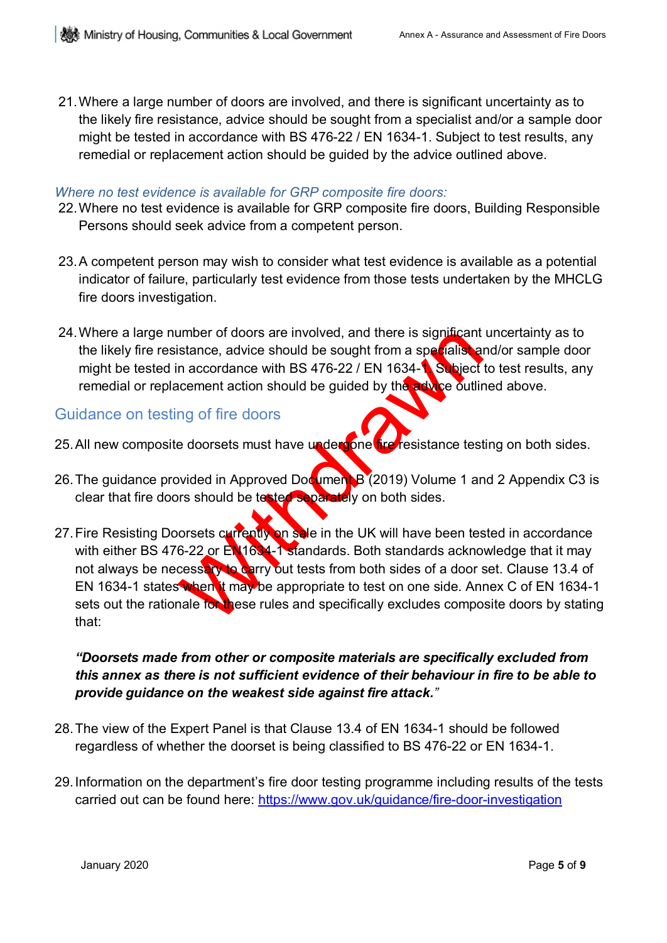21.Where a large number of doors are involved, and there is significant uncertainty as to the likely fire resistance, advice should be sought from a specialist and/or a sample door might be tested in accordance with BS 476-22 / EN 1634-1. Subject to test results, any remedial or replacement action should be guided by the advice outlined above.

#### *Where no test evidence is available for GRP composite fire doors:*

- 22.Where no test evidence is available for GRP composite fire doors, Building Responsible Persons should seek advice from a competent person.
- 23.A competent person may wish to consider what test evidence is available as a potential indicator of failure, particularly test evidence from those tests undertaken by the MHCLG fire doors investigation.
- 24. Where a large number of doors are involved, and there is significant uncertainty as to the likely fire resistance, advice should be sought from a specialist and/or sample door might be tested in accordance with BS 476-22 / EN 1634-1. Subject to test results, any remedial or replacement action should be guided by the advice outlined above.

### Guidance on testing of fire doors

- 25. All new composite doorsets must have undergone fire resistance testing on both sides.
- 26. The guidance provided in Approved Document B (2019) Volume 1 and 2 Appendix C3 is clear that fire doors should be tested separately on both sides.
- umber of doors are involved, and there is significant<br>stance, advice should be sought from a specialistan<br>in accordance with BS 476-22 / EN 1634-1. Subject<br>accement action should be guided by the solution<br>g of fire doors<br>b 27. Fire Resisting Doorsets currently on sale in the UK will have been tested in accordance with either BS 476-22 or EN1634-1 standards. Both standards acknowledge that it may not always be necessary to carry out tests from both sides of a door set. Clause 13.4 of EN 1634-1 states when it may be appropriate to test on one side. Annex C of EN 1634-1 sets out the rationale for these rules and specifically excludes composite doors by stating that:

### *"Doorsets made from other or composite materials are specifically excluded from this annex as there is not sufficient evidence of their behaviour in fire to be able to provide guidance on the weakest side against fire attack."*

- 28.The view of the Expert Panel is that Clause 13.4 of EN 1634-1 should be followed regardless of whether the doorset is being classified to BS 476-22 or EN 1634-1.
- 29.Information on the department's fire door testing programme including results of the tests carried out can be found here: <https://www.gov.uk/guidance/fire-door-investigation>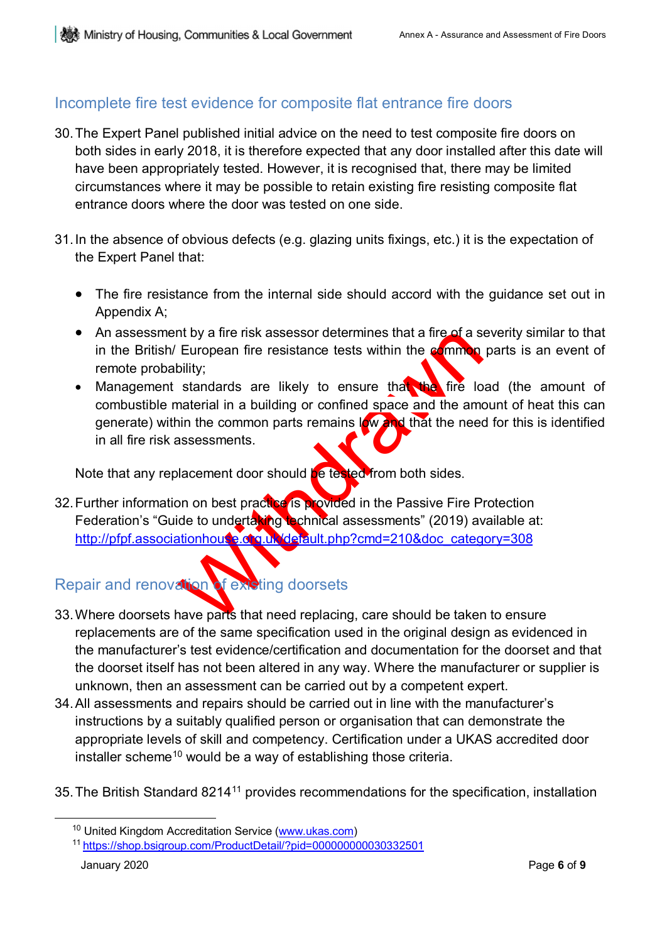## Incomplete fire test evidence for composite flat entrance fire doors

- 30.The Expert Panel published initial advice on the need to test composite fire doors on both sides in early 2018, it is therefore expected that any door installed after this date will have been appropriately tested. However, it is recognised that, there may be limited circumstances where it may be possible to retain existing fire resisting composite flat entrance doors where the door was tested on one side.
- 31.In the absence of obvious defects (e.g. glazing units fixings, etc.) it is the expectation of the Expert Panel that:
	- The fire resistance from the internal side should accord with the guidance set out in Appendix A;
	- An assessment by a fire risk assessor determines that a fire of a severity similar to that in the British/ European fire resistance tests within the common parts is an event of remote probability;
	- In the participan of external and the participan of external and the common parts remained by the time in a building or confined space and the annum the common parts remains  $|W|$  that the needs assessments.<br>In the common • Management standards are likely to ensure that the fire load (the amount of combustible material in a building or confined space and the amount of heat this can generate) within the common parts remains  $\log w$  and that the need for this is identified in all fire risk assessments.

Note that any replacement door should be tested from both sides.

32. Further information on best practice is provided in the Passive Fire Protection Federation's "Guide to undertaking technical assessments" (2019) available at: [http://pfpf.associationhouse.org.uk/default.php?cmd=210&doc\\_category=308](http://pfpf.associationhouse.org.uk/default.php?cmd=210&doc_category=308)

# Repair and renovation of existing doorsets

- 33.Where doorsets have parts that need replacing, care should be taken to ensure replacements are of the same specification used in the original design as evidenced in the manufacturer's test evidence/certification and documentation for the doorset and that the doorset itself has not been altered in any way. Where the manufacturer or supplier is unknown, then an assessment can be carried out by a competent expert.
- 34.All assessments and repairs should be carried out in line with the manufacturer's instructions by a suitably qualified person or organisation that can demonstrate the appropriate levels of skill and competency. Certification under a UKAS accredited door installer scheme<sup>[10](#page-5-0)</sup> would be a way of establishing those criteria.
- <span id="page-5-0"></span>35.The British Standard 8214[11](#page-5-1) provides recommendations for the specification, installation

<sup>&</sup>lt;sup>10</sup> United Kingdom Accreditation Service [\(www.ukas.com\)](http://www.ukas.com/)

<span id="page-5-1"></span><sup>11</sup> <https://shop.bsigroup.com/ProductDetail/?pid=000000000030332501>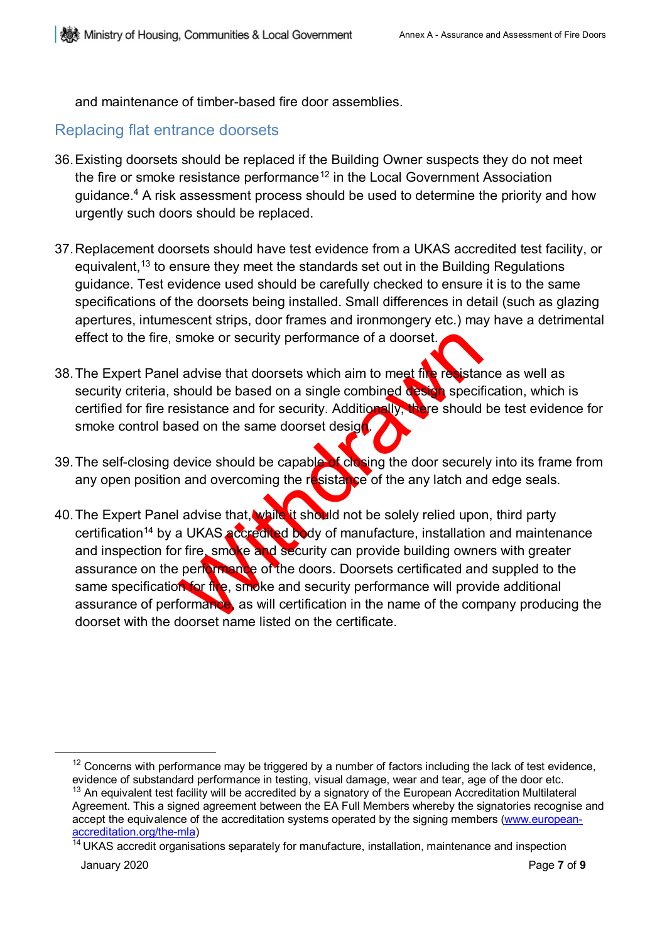and maintenance of timber-based fire door assemblies.

### Replacing flat entrance doorsets

- 36.Existing doorsets should be replaced if the Building Owner suspects they do not meet the fire or smoke resistance performance<sup>[12](#page-6-0)</sup> in the Local Government Association guidance.<sup>4</sup> A risk assessment process should be used to determine the priority and how urgently such doors should be replaced.
- 37.Replacement doorsets should have test evidence from a UKAS accredited test facility, or equivalent,<sup>[13](#page-6-1)</sup> to ensure they meet the standards set out in the Building Regulations guidance. Test evidence used should be carefully checked to ensure it is to the same specifications of the doorsets being installed. Small differences in detail (such as glazing apertures, intumescent strips, door frames and ironmongery etc.) may have a detrimental effect to the fire, smoke or security performance of a doorset.
- 38. The Expert Panel advise that doorsets which aim to meet fire resistance as well as security criteria, should be based on a single combined design specification, which is certified for fire resistance and for security. Additionally, there should be test evidence for smoke control based on the same doorset design.
- 39. The self-closing device should be capable of closing the door securely into its frame from any open position and overcoming the resistance of the any latch and edge seals.
- smoke or security performance of a doorset.<br>
I advise that doorsets which aim to meet the resistant<br>
should be based on a single combined descriptions<br>
issistance and for security. Additionally, there should<br>
sed on the sa 40. The Expert Panel advise that, while it should not be solely relied upon, third party certification<sup>14</sup> by a UKAS accredited body of manufacture, installation and maintenance and inspection for fire, smoke and security can provide building owners with greater assurance on the performance of the doors. Doorsets certificated and suppled to the same specification for fire, smoke and security performance will provide additional assurance of performance, as will certification in the name of the company producing the doorset with the doorset name listed on the certificate.

<span id="page-6-0"></span> $12$  Concerns with performance may be triggered by a number of factors including the lack of test evidence, evidence of substandard performance in testing, visual damage, wear and tear, age of the door etc.

<span id="page-6-1"></span><sup>&</sup>lt;sup>13</sup> An equivalent test facility will be accredited by a signatory of the European Accreditation Multilateral Agreement. This a signed agreement between the EA Full Members whereby the signatories recognise and accept the equivalence of the accreditation systems operated by the signing members [\(www.european](http://www.european-accreditation.org/the-mla)[accreditation.org/the-mla\)](http://www.european-accreditation.org/the-mla)

<span id="page-6-2"></span><sup>&</sup>lt;sup>14</sup> UKAS accredit organisations separately for manufacture, installation, maintenance and inspection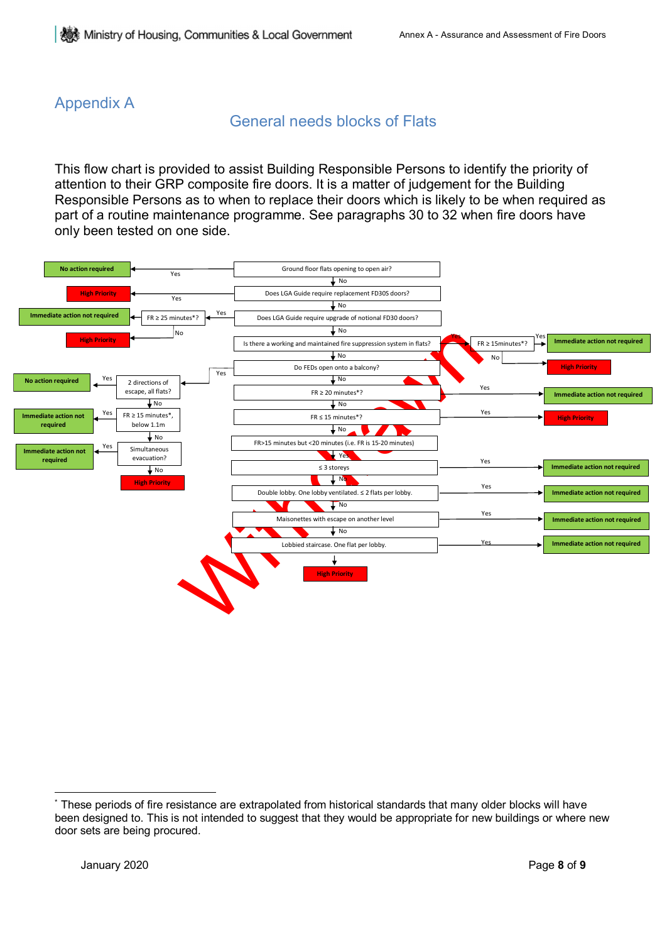## Appendix A

## General needs blocks of Flats

This flow chart is provided to assist Building Responsible Persons to identify the priority of attention to their GRP composite fire doors. It is a matter of judgement for the Building Responsible Persons as to when to replace their doors which is likely to be when required as part of a routine maintenance programme. See paragraphs 30 to 32 when fire doors have only been tested on one side.



<span id="page-7-0"></span> $\overline{a}$ These periods of fire resistance are extrapolated from historical standards that many older blocks will have been designed to. This is not intended to suggest that they would be appropriate for new buildings or where new door sets are being procured.